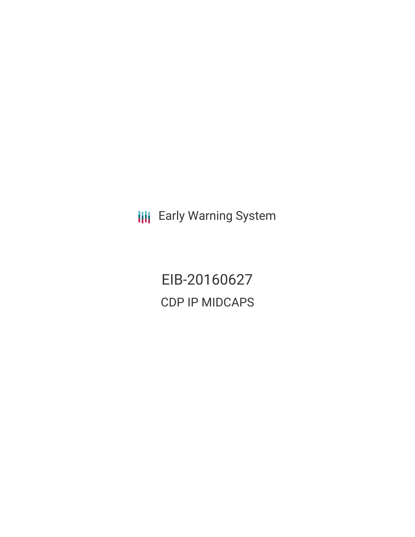**III** Early Warning System

EIB-20160627 CDP IP MIDCAPS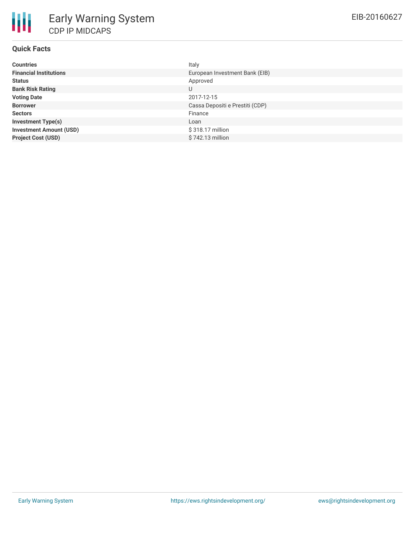# **Quick Facts**

| <b>Countries</b>               | Italy                           |
|--------------------------------|---------------------------------|
| <b>Financial Institutions</b>  | European Investment Bank (EIB)  |
| <b>Status</b>                  | Approved                        |
| <b>Bank Risk Rating</b>        | U                               |
| <b>Voting Date</b>             | 2017-12-15                      |
| <b>Borrower</b>                | Cassa Depositi e Prestiti (CDP) |
| <b>Sectors</b>                 | Finance                         |
| <b>Investment Type(s)</b>      | Loan                            |
| <b>Investment Amount (USD)</b> | \$318.17 million                |
| <b>Project Cost (USD)</b>      | \$742.13 million                |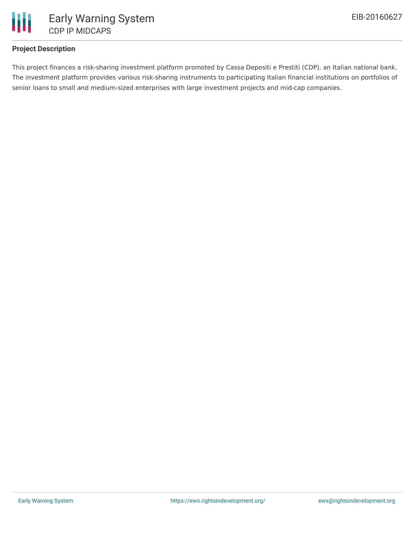

# **Project Description**

This project finances a risk-sharing investment platform promoted by Cassa Depositi e Prestiti (CDP), an Italian national bank. The investment platform provides various risk-sharing instruments to participating Italian financial institutions on portfolios of senior loans to small and medium-sized enterprises with large investment projects and mid-cap companies.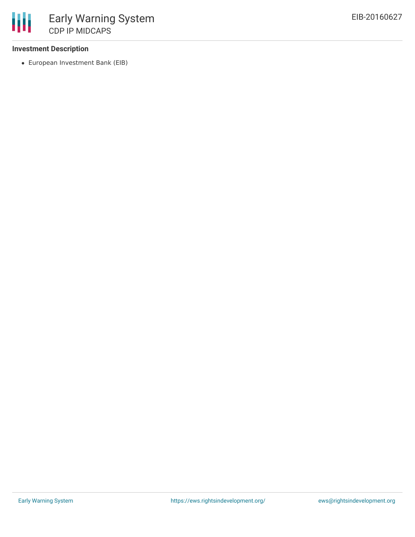# **Investment Description**

European Investment Bank (EIB)